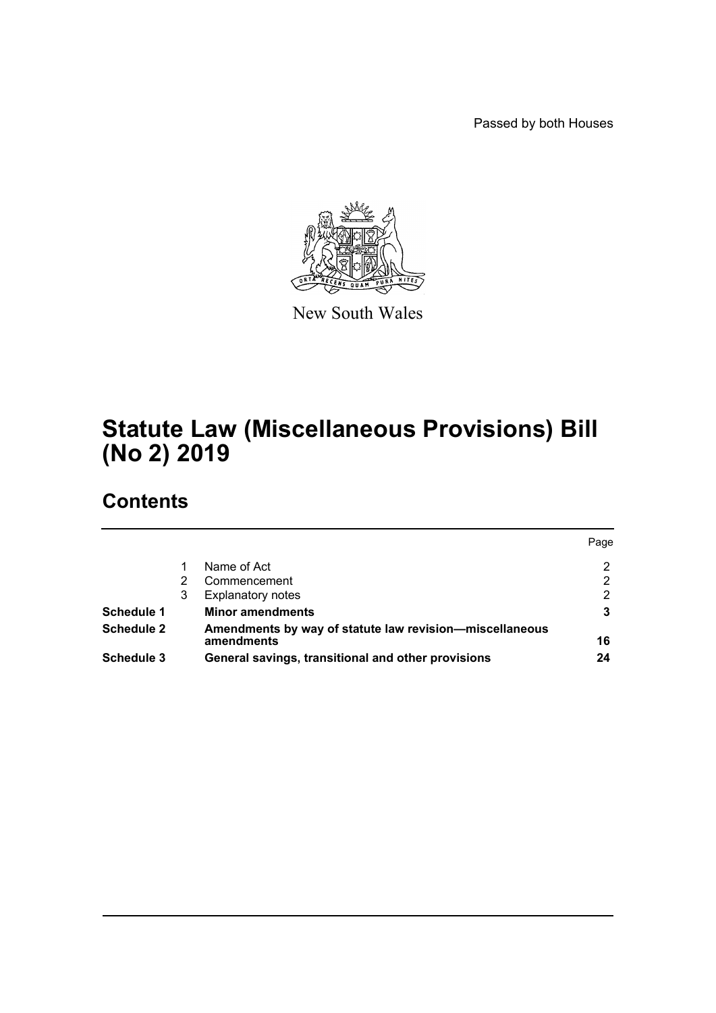Passed by both Houses



New South Wales

# **Statute Law (Miscellaneous Provisions) Bill (No 2) 2019**

# **Contents**

|                   |   |                                                                       | Page |
|-------------------|---|-----------------------------------------------------------------------|------|
|                   |   | Name of Act                                                           | 2    |
|                   |   | Commencement                                                          | 2    |
|                   | 3 | <b>Explanatory notes</b>                                              | 2    |
| <b>Schedule 1</b> |   | <b>Minor amendments</b>                                               | 3    |
| <b>Schedule 2</b> |   | Amendments by way of statute law revision—miscellaneous<br>amendments | 16   |
| Schedule 3        |   | General savings, transitional and other provisions                    | 24   |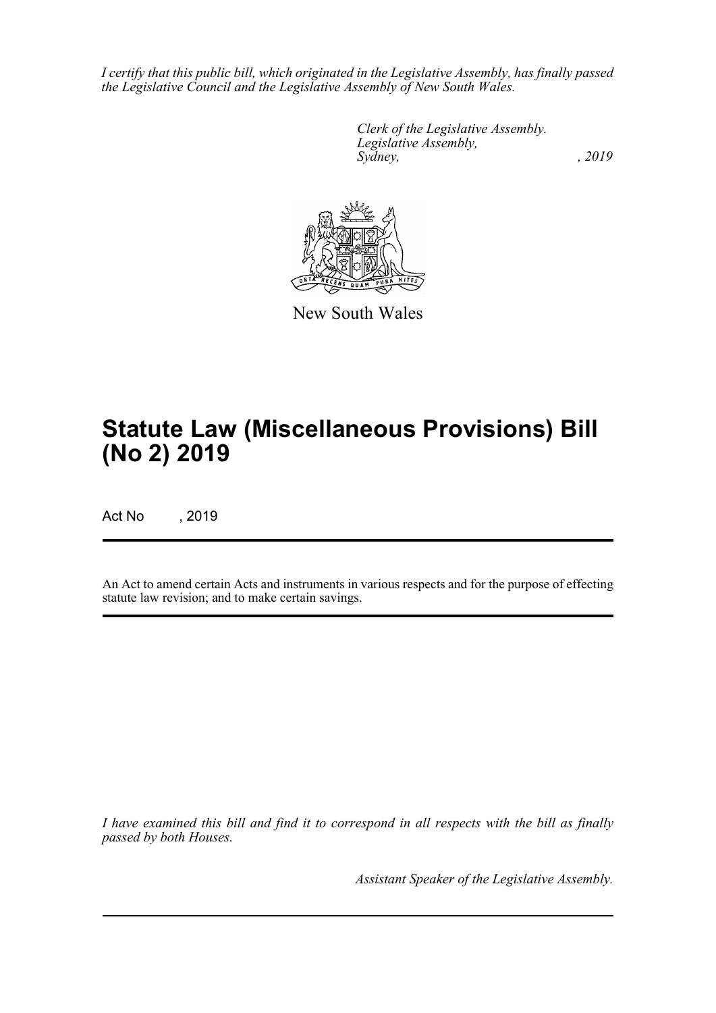*I certify that this public bill, which originated in the Legislative Assembly, has finally passed the Legislative Council and the Legislative Assembly of New South Wales.*

> *Clerk of the Legislative Assembly. Legislative Assembly, Sydney,* , 2019



New South Wales

# **Statute Law (Miscellaneous Provisions) Bill (No 2) 2019**

Act No , 2019

An Act to amend certain Acts and instruments in various respects and for the purpose of effecting statute law revision; and to make certain savings.

*I have examined this bill and find it to correspond in all respects with the bill as finally passed by both Houses.*

*Assistant Speaker of the Legislative Assembly.*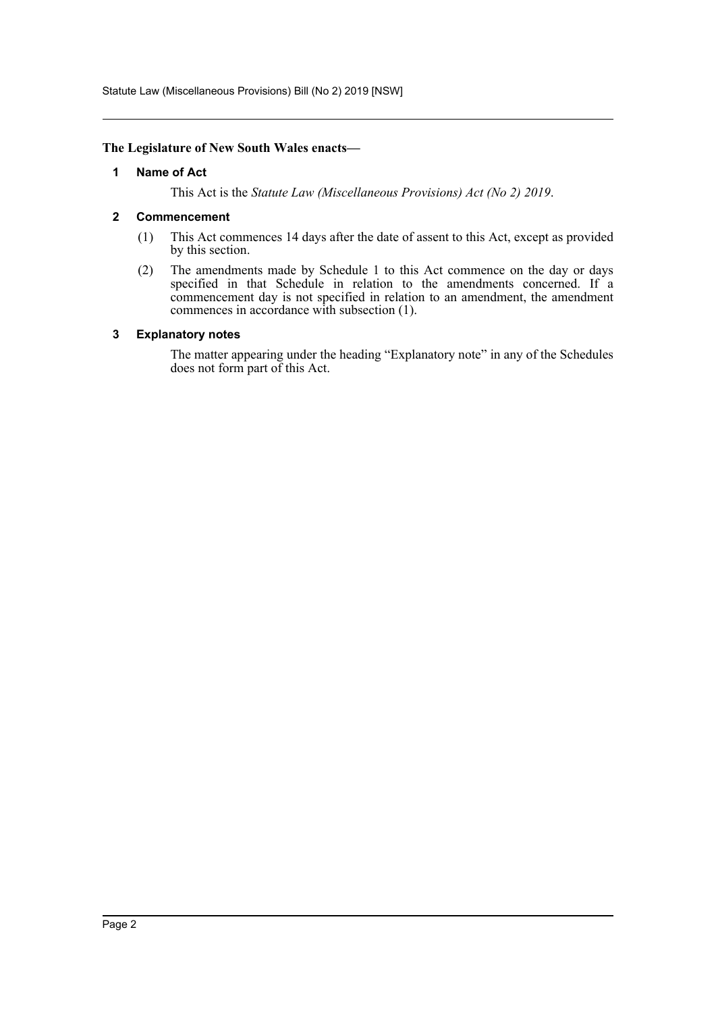Statute Law (Miscellaneous Provisions) Bill (No 2) 2019 [NSW]

### <span id="page-2-0"></span>**The Legislature of New South Wales enacts—**

#### **1 Name of Act**

This Act is the *Statute Law (Miscellaneous Provisions) Act (No 2) 2019*.

### <span id="page-2-1"></span>**2 Commencement**

- (1) This Act commences 14 days after the date of assent to this Act, except as provided by this section.
- (2) The amendments made by Schedule 1 to this Act commence on the day or days specified in that Schedule in relation to the amendments concerned. If a commencement day is not specified in relation to an amendment, the amendment commences in accordance with subsection (1).

### <span id="page-2-2"></span>**3 Explanatory notes**

The matter appearing under the heading "Explanatory note" in any of the Schedules does not form part of this Act.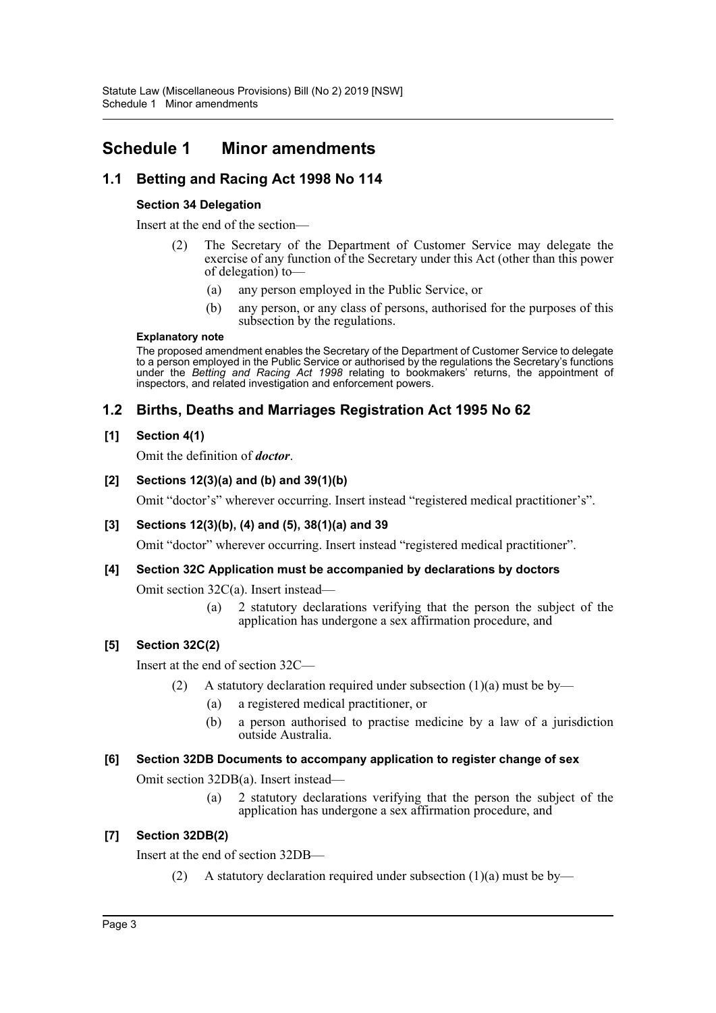# <span id="page-3-0"></span>**Schedule 1 Minor amendments**

# **1.1 Betting and Racing Act 1998 No 114**

# **Section 34 Delegation**

Insert at the end of the section—

- (2) The Secretary of the Department of Customer Service may delegate the exercise of any function of the Secretary under this Act (other than this power of delegation) to—
	- (a) any person employed in the Public Service, or
	- (b) any person, or any class of persons, authorised for the purposes of this subsection by the regulations.

### **Explanatory note**

The proposed amendment enables the Secretary of the Department of Customer Service to delegate to a person employed in the Public Service or authorised by the regulations the Secretary's functions under the *Betting and Racing Act 1998* relating to bookmakers' returns, the appointment of inspectors, and related investigation and enforcement powers.

# **1.2 Births, Deaths and Marriages Registration Act 1995 No 62**

# **[1] Section 4(1)**

Omit the definition of *doctor*.

# **[2] Sections 12(3)(a) and (b) and 39(1)(b)**

Omit "doctor's" wherever occurring. Insert instead "registered medical practitioner's".

# **[3] Sections 12(3)(b), (4) and (5), 38(1)(a) and 39**

Omit "doctor" wherever occurring. Insert instead "registered medical practitioner".

# **[4] Section 32C Application must be accompanied by declarations by doctors**

Omit section 32C(a). Insert instead—

(a) 2 statutory declarations verifying that the person the subject of the application has undergone a sex affirmation procedure, and

# **[5] Section 32C(2)**

Insert at the end of section 32C—

- (2) A statutory declaration required under subsection  $(1)(a)$  must be by—
	- (a) a registered medical practitioner, or
	- (b) a person authorised to practise medicine by a law of a jurisdiction outside Australia.

### **[6] Section 32DB Documents to accompany application to register change of sex**

Omit section 32DB(a). Insert instead—

(a) 2 statutory declarations verifying that the person the subject of the application has undergone a sex affirmation procedure, and

# **[7] Section 32DB(2)**

Insert at the end of section 32DB—

(2) A statutory declaration required under subsection  $(1)(a)$  must be by—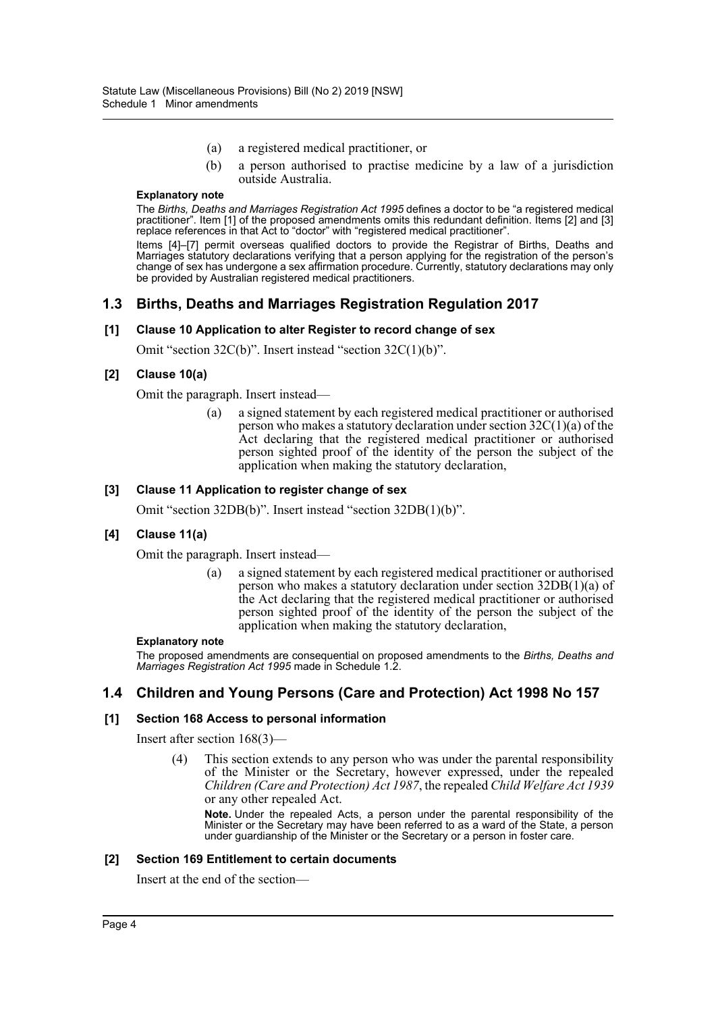- (a) a registered medical practitioner, or
- (b) a person authorised to practise medicine by a law of a jurisdiction outside Australia.

The *Births, Deaths and Marriages Registration Act 1995* defines a doctor to be "a registered medical practitioner". Item [1] of the proposed amendments omits this redundant definition. Items [2] and [3] replace references in that Act to "doctor" with "registered medical practitioner".

Items [4]–[7] permit overseas qualified doctors to provide the Registrar of Births, Deaths and Marriages statutory declarations verifying that a person applying for the registration of the person's change of sex has undergone a sex affirmation procedure. Currently, statutory declarations may only be provided by Australian registered medical practitioners.

# **1.3 Births, Deaths and Marriages Registration Regulation 2017**

#### **[1] Clause 10 Application to alter Register to record change of sex**

Omit "section 32C(b)". Insert instead "section 32C(1)(b)".

### **[2] Clause 10(a)**

Omit the paragraph. Insert instead—

(a) a signed statement by each registered medical practitioner or authorised person who makes a statutory declaration under section 32C(1)(a) of the Act declaring that the registered medical practitioner or authorised person sighted proof of the identity of the person the subject of the application when making the statutory declaration,

#### **[3] Clause 11 Application to register change of sex**

Omit "section 32DB(b)". Insert instead "section 32DB(1)(b)".

#### **[4] Clause 11(a)**

Omit the paragraph. Insert instead—

(a) a signed statement by each registered medical practitioner or authorised person who makes a statutory declaration under section 32DB(1)(a) of the Act declaring that the registered medical practitioner or authorised person sighted proof of the identity of the person the subject of the application when making the statutory declaration,

#### **Explanatory note**

The proposed amendments are consequential on proposed amendments to the *Births, Deaths and Marriages Registration Act 1995* made in Schedule 1.2.

# **1.4 Children and Young Persons (Care and Protection) Act 1998 No 157**

#### **[1] Section 168 Access to personal information**

Insert after section 168(3)—

(4) This section extends to any person who was under the parental responsibility of the Minister or the Secretary, however expressed, under the repealed *Children (Care and Protection) Act 1987*, the repealed *Child Welfare Act 1939* or any other repealed Act.

**Note.** Under the repealed Acts, a person under the parental responsibility of the Minister or the Secretary may have been referred to as a ward of the State, a person under guardianship of the Minister or the Secretary or a person in foster care.

#### **[2] Section 169 Entitlement to certain documents**

Insert at the end of the section—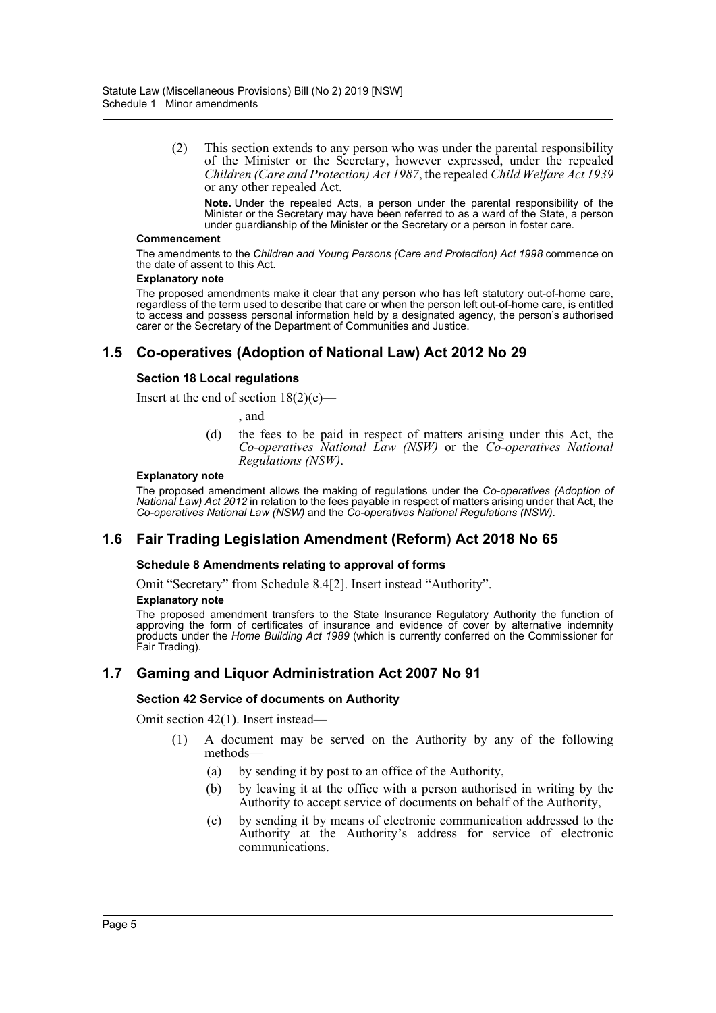(2) This section extends to any person who was under the parental responsibility of the Minister or the Secretary, however expressed, under the repealed *Children (Care and Protection) Act 1987*, the repealed *Child Welfare Act 1939* or any other repealed Act.

**Note.** Under the repealed Acts, a person under the parental responsibility of the Minister or the Secretary may have been referred to as a ward of the State, a person under guardianship of the Minister or the Secretary or a person in foster care.

#### **Commencement**

The amendments to the *Children and Young Persons (Care and Protection) Act 1998* commence on the date of assent to this Act.

#### **Explanatory note**

The proposed amendments make it clear that any person who has left statutory out-of-home care, regardless of the term used to describe that care or when the person left out-of-home care, is entitled to access and possess personal information held by a designated agency, the person's authorised carer or the Secretary of the Department of Communities and Justice.

# **1.5 Co-operatives (Adoption of National Law) Act 2012 No 29**

### **Section 18 Local regulations**

Insert at the end of section  $18(2)(c)$ —

, and

(d) the fees to be paid in respect of matters arising under this Act, the *Co-operatives National Law (NSW)* or the *Co-operatives National Regulations (NSW)*.

#### **Explanatory note**

The proposed amendment allows the making of regulations under the *Co-operatives (Adoption of National Law) Act 2012* in relation to the fees payable in respect of matters arising under that Act, the *Co-operatives National Law (NSW)* and the *Co-operatives National Regulations (NSW)*.

# **1.6 Fair Trading Legislation Amendment (Reform) Act 2018 No 65**

### **Schedule 8 Amendments relating to approval of forms**

Omit "Secretary" from Schedule 8.4[2]. Insert instead "Authority".

#### **Explanatory note**

The proposed amendment transfers to the State Insurance Regulatory Authority the function of approving the form of certificates of insurance and evidence of cover by alternative indemnity products under the *Home Building Act 1989* (which is currently conferred on the Commissioner for Fair Trading).

# **1.7 Gaming and Liquor Administration Act 2007 No 91**

### **Section 42 Service of documents on Authority**

Omit section 42(1). Insert instead—

- (1) A document may be served on the Authority by any of the following methods—
	- (a) by sending it by post to an office of the Authority,
	- (b) by leaving it at the office with a person authorised in writing by the Authority to accept service of documents on behalf of the Authority,
	- (c) by sending it by means of electronic communication addressed to the Authority at the Authority's address for service of electronic communications.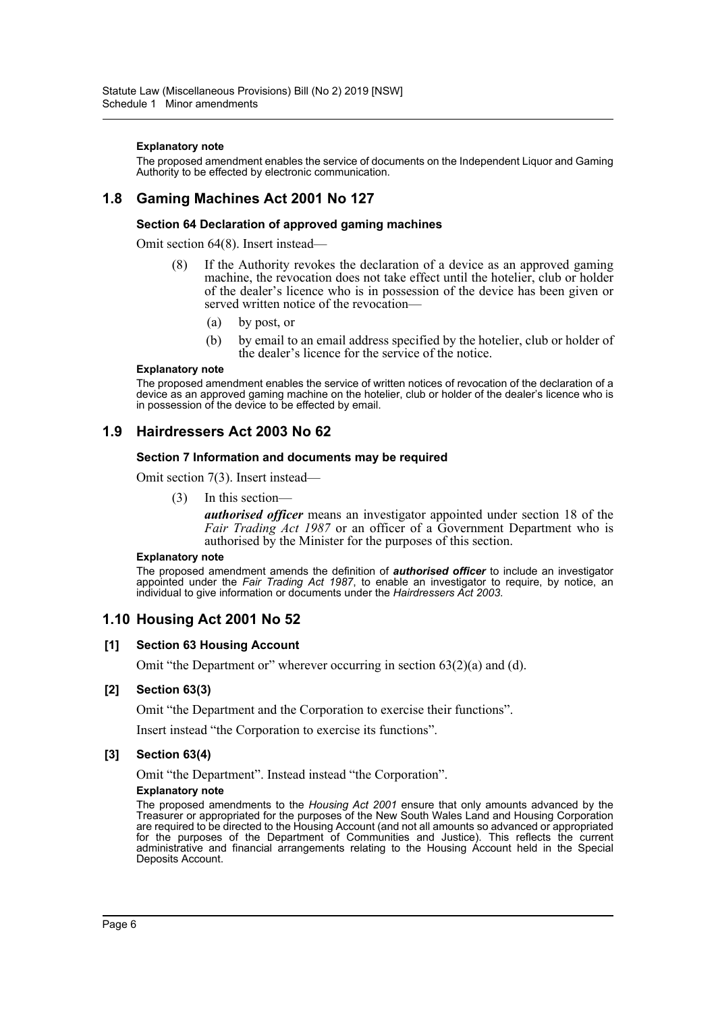The proposed amendment enables the service of documents on the Independent Liquor and Gaming Authority to be effected by electronic communication.

# **1.8 Gaming Machines Act 2001 No 127**

### **Section 64 Declaration of approved gaming machines**

Omit section 64(8). Insert instead—

- (8) If the Authority revokes the declaration of a device as an approved gaming machine, the revocation does not take effect until the hotelier, club or holder of the dealer's licence who is in possession of the device has been given or served written notice of the revocation—
	- (a) by post, or
	- (b) by email to an email address specified by the hotelier, club or holder of the dealer's licence for the service of the notice.

#### **Explanatory note**

The proposed amendment enables the service of written notices of revocation of the declaration of a device as an approved gaming machine on the hotelier, club or holder of the dealer's licence who is in possession of the device to be effected by email.

# **1.9 Hairdressers Act 2003 No 62**

#### **Section 7 Information and documents may be required**

Omit section 7(3). Insert instead—

(3) In this section—

*authorised officer* means an investigator appointed under section 18 of the *Fair Trading Act 1987* or an officer of a Government Department who is authorised by the Minister for the purposes of this section.

#### **Explanatory note**

The proposed amendment amends the definition of *authorised officer* to include an investigator appointed under the *Fair Trading Act 1987*, to enable an investigator to require, by notice, an individual to give information or documents under the *Hairdressers Act 2003*.

# **1.10 Housing Act 2001 No 52**

### **[1] Section 63 Housing Account**

Omit "the Department or" wherever occurring in section 63(2)(a) and (d).

### **[2] Section 63(3)**

Omit "the Department and the Corporation to exercise their functions".

Insert instead "the Corporation to exercise its functions".

### **[3] Section 63(4)**

Omit "the Department". Instead instead "the Corporation".

#### **Explanatory note**

The proposed amendments to the *Housing Act 2001* ensure that only amounts advanced by the Treasurer or appropriated for the purposes of the New South Wales Land and Housing Corporation are required to be directed to the Housing Account (and not all amounts so advanced or appropriated for the purposes of the Department of Communities and Justice). This reflects the current administrative and financial arrangements relating to the Housing Account held in the Special Deposits Account.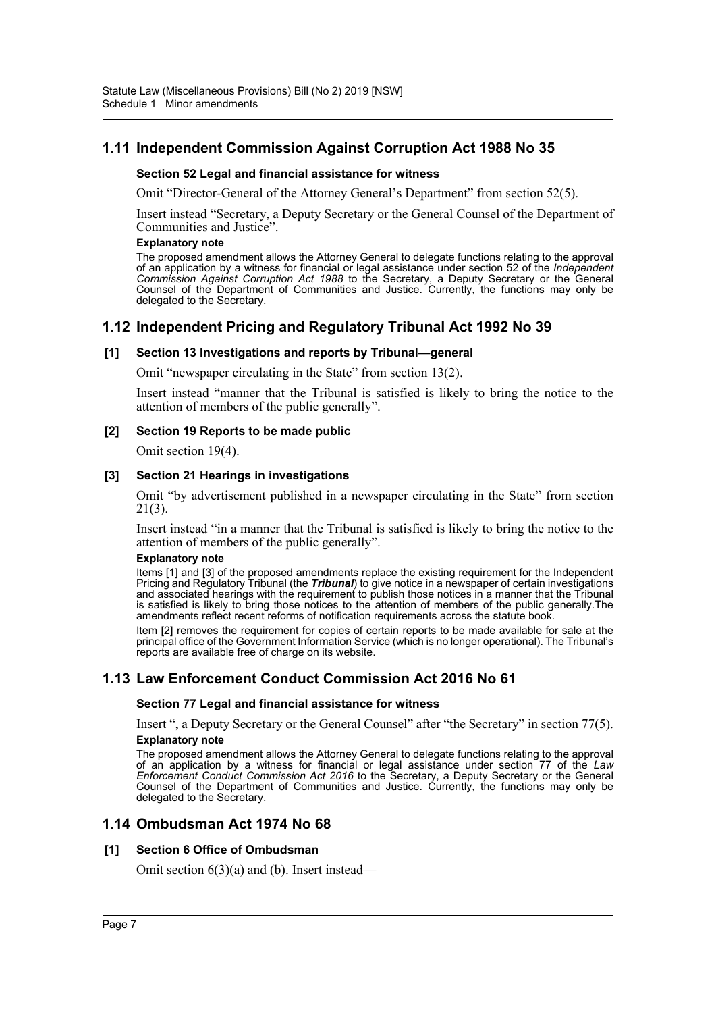# **1.11 Independent Commission Against Corruption Act 1988 No 35**

### **Section 52 Legal and financial assistance for witness**

Omit "Director-General of the Attorney General's Department" from section 52(5).

Insert instead "Secretary, a Deputy Secretary or the General Counsel of the Department of Communities and Justice".

#### **Explanatory note**

The proposed amendment allows the Attorney General to delegate functions relating to the approval of an application by a witness for financial or legal assistance under section 52 of the *Independent Commission Against Corruption Act 1988* to the Secretary, a Deputy Secretary or the General Counsel of the Department of Communities and Justice. Currently, the functions may only be delegated to the Secretary.

# **1.12 Independent Pricing and Regulatory Tribunal Act 1992 No 39**

#### **[1] Section 13 Investigations and reports by Tribunal—general**

Omit "newspaper circulating in the State" from section 13(2).

Insert instead "manner that the Tribunal is satisfied is likely to bring the notice to the attention of members of the public generally".

#### **[2] Section 19 Reports to be made public**

Omit section 19(4).

#### **[3] Section 21 Hearings in investigations**

Omit "by advertisement published in a newspaper circulating in the State" from section 21(3).

Insert instead "in a manner that the Tribunal is satisfied is likely to bring the notice to the attention of members of the public generally".

#### **Explanatory note**

Items [1] and [3] of the proposed amendments replace the existing requirement for the Independent Pricing and Regulatory Tribunal (the *Tribunal*) to give notice in a newspaper of certain investigations and associated hearings with the requirement to publish those notices in a manner that the Tribunal is satisfied is likely to bring those notices to the attention of members of the public generally.The amendments reflect recent reforms of notification requirements across the statute book.

Item [2] removes the requirement for copies of certain reports to be made available for sale at the principal office of the Government Information Service (which is no longer operational). The Tribunal's reports are available free of charge on its website.

# **1.13 Law Enforcement Conduct Commission Act 2016 No 61**

### **Section 77 Legal and financial assistance for witness**

Insert ", a Deputy Secretary or the General Counsel" after "the Secretary" in section 77(5). **Explanatory note**

The proposed amendment allows the Attorney General to delegate functions relating to the approval of an application by a witness for financial or legal assistance under section 77 of the *Law Enforcement Conduct Commission Act 2016* to the Secretary, a Deputy Secretary or the General Counsel of the Department of Communities and Justice. Currently, the functions may only be delegated to the Secretary.

# **1.14 Ombudsman Act 1974 No 68**

### **[1] Section 6 Office of Ombudsman**

Omit section 6(3)(a) and (b). Insert instead—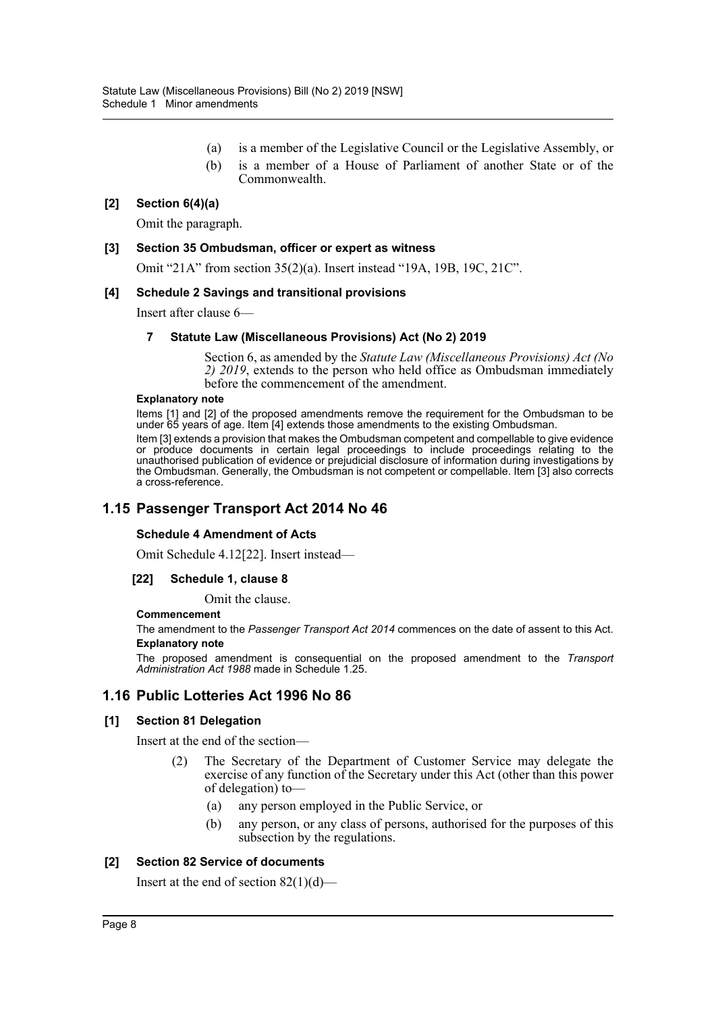- (a) is a member of the Legislative Council or the Legislative Assembly, or
- (b) is a member of a House of Parliament of another State or of the Commonwealth.

### **[2] Section 6(4)(a)**

Omit the paragraph.

### **[3] Section 35 Ombudsman, officer or expert as witness**

Omit "21A" from section 35(2)(a). Insert instead "19A, 19B, 19C, 21C".

#### **[4] Schedule 2 Savings and transitional provisions**

Insert after clause 6—

### **7 Statute Law (Miscellaneous Provisions) Act (No 2) 2019**

Section 6, as amended by the *Statute Law (Miscellaneous Provisions) Act (No 2) 2019*, extends to the person who held office as Ombudsman immediately before the commencement of the amendment.

#### **Explanatory note**

Items [1] and [2] of the proposed amendments remove the requirement for the Ombudsman to be under 65 years of age. Item [4] extends those amendments to the existing Ombudsman.

Item [3] extends a provision that makes the Ombudsman competent and compellable to give evidence or produce documents in certain legal proceedings to include proceedings relating to the unauthorised publication of evidence or prejudicial disclosure of information during investigations by the Ombudsman. Generally, the Ombudsman is not competent or compellable. Item [3] also corrects a cross-reference.

# **1.15 Passenger Transport Act 2014 No 46**

#### **Schedule 4 Amendment of Acts**

Omit Schedule 4.12[22]. Insert instead—

### **[22] Schedule 1, clause 8**

Omit the clause.

#### **Commencement**

The amendment to the *Passenger Transport Act 2014* commences on the date of assent to this Act. **Explanatory note**

The proposed amendment is consequential on the proposed amendment to the *Transport Administration Act 1988* made in Schedule 1.25.

# **1.16 Public Lotteries Act 1996 No 86**

### **[1] Section 81 Delegation**

Insert at the end of the section—

- (2) The Secretary of the Department of Customer Service may delegate the exercise of any function of the Secretary under this Act (other than this power of delegation) to—
	- (a) any person employed in the Public Service, or
	- (b) any person, or any class of persons, authorised for the purposes of this subsection by the regulations.

### **[2] Section 82 Service of documents**

Insert at the end of section 82(1)(d)—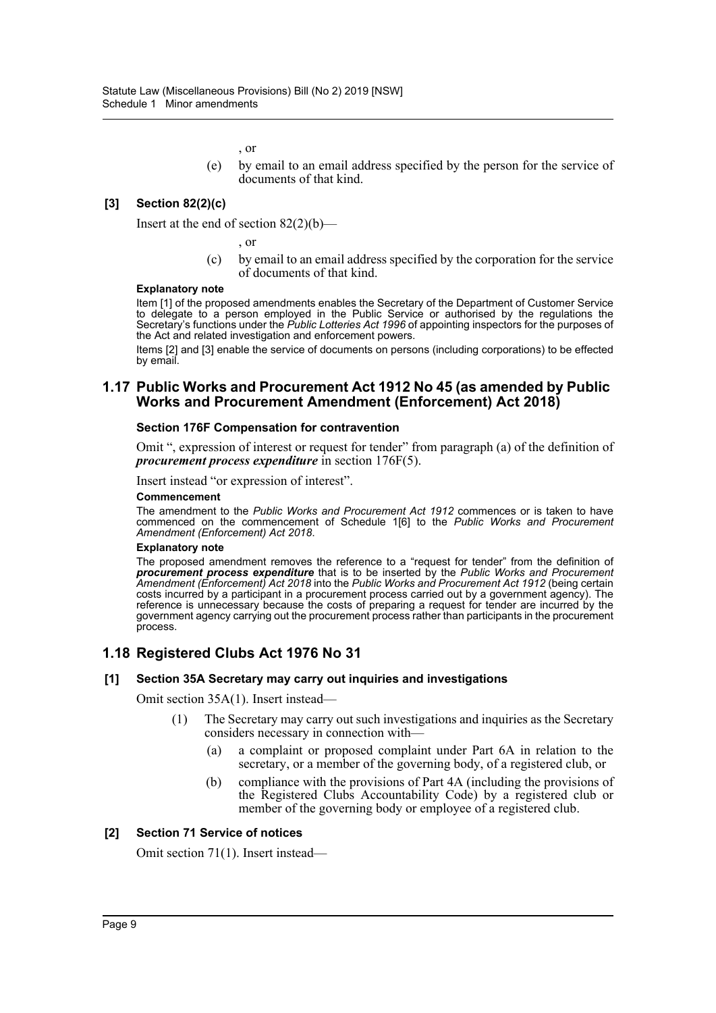, or

(e) by email to an email address specified by the person for the service of documents of that kind.

### **[3] Section 82(2)(c)**

Insert at the end of section  $82(2)(b)$ —

, or

(c) by email to an email address specified by the corporation for the service of documents of that kind.

#### **Explanatory note**

Item [1] of the proposed amendments enables the Secretary of the Department of Customer Service to delegate to a person employed in the Public Service or authorised by the regulations the Secretary's functions under the *Public Lotteries Act 1996* of appointing inspectors for the purposes of the Act and related investigation and enforcement powers.

Items [2] and [3] enable the service of documents on persons (including corporations) to be effected by email.

### **1.17 Public Works and Procurement Act 1912 No 45 (as amended by Public Works and Procurement Amendment (Enforcement) Act 2018)**

#### **Section 176F Compensation for contravention**

Omit ", expression of interest or request for tender" from paragraph (a) of the definition of *procurement process expenditure* in section 176F(5).

Insert instead "or expression of interest".

#### **Commencement**

The amendment to the *Public Works and Procurement Act 1912* commences or is taken to have commenced on the commencement of Schedule 1[6] to the *Public Works and Procurement Amendment (Enforcement) Act 2018*.

#### **Explanatory note**

The proposed amendment removes the reference to a "request for tender" from the definition of *procurement process expenditure* that is to be inserted by the *Public Works and Procurement Amendment (Enforcement) Act 2018* into the *Public Works and Procurement Act 1912* (being certain costs incurred by a participant in a procurement process carried out by a government agency). The reference is unnecessary because the costs of preparing a request for tender are incurred by the government agency carrying out the procurement process rather than participants in the procurement process.

# **1.18 Registered Clubs Act 1976 No 31**

### **[1] Section 35A Secretary may carry out inquiries and investigations**

Omit section 35A(1). Insert instead—

- (1) The Secretary may carry out such investigations and inquiries as the Secretary considers necessary in connection with—
	- (a) a complaint or proposed complaint under Part 6A in relation to the secretary, or a member of the governing body, of a registered club, or
	- (b) compliance with the provisions of Part 4A (including the provisions of the Registered Clubs Accountability Code) by a registered club or member of the governing body or employee of a registered club.

### **[2] Section 71 Service of notices**

Omit section 71(1). Insert instead—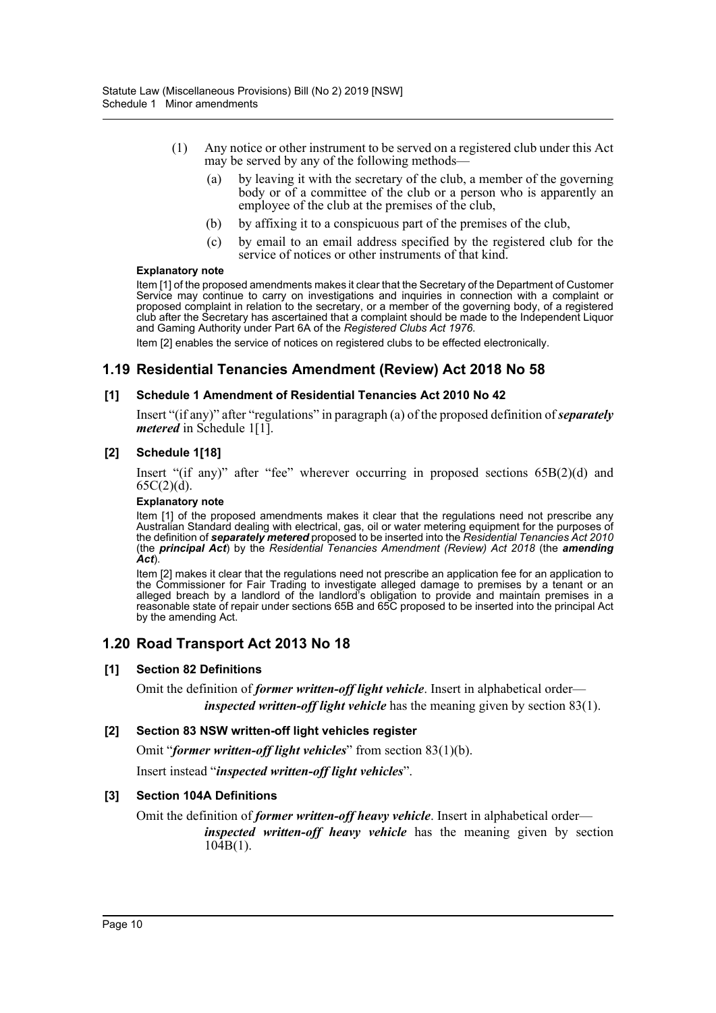- (1) Any notice or other instrument to be served on a registered club under this Act may be served by any of the following methods—
	- (a) by leaving it with the secretary of the club, a member of the governing body or of a committee of the club or a person who is apparently an employee of the club at the premises of the club,
	- (b) by affixing it to a conspicuous part of the premises of the club,
	- (c) by email to an email address specified by the registered club for the service of notices or other instruments of that kind.

Item [1] of the proposed amendments makes it clear that the Secretary of the Department of Customer Service may continue to carry on investigations and inquiries in connection with a complaint or proposed complaint in relation to the secretary, or a member of the governing body, of a registered club after the Secretary has ascertained that a complaint should be made to the Independent Liquor and Gaming Authority under Part 6A of the *Registered Clubs Act 1976*.

Item [2] enables the service of notices on registered clubs to be effected electronically.

# **1.19 Residential Tenancies Amendment (Review) Act 2018 No 58**

### **[1] Schedule 1 Amendment of Residential Tenancies Act 2010 No 42**

Insert "(if any)" after "regulations" in paragraph (a) of the proposed definition of *separately metered* in Schedule 1[1].

### **[2] Schedule 1[18]**

Insert "(if any)" after "fee" wherever occurring in proposed sections 65B(2)(d) and 65C(2)(d).

#### **Explanatory note**

Item [1] of the proposed amendments makes it clear that the regulations need not prescribe any Australian Standard dealing with electrical, gas, oil or water metering equipment for the purposes of the definition of *separately metered* proposed to be inserted into the *Residential Tenancies Act 2010* (the *principal Act*) by the *Residential Tenancies Amendment (Review) Act 2018* (the *amending Act*).

Item [2] makes it clear that the regulations need not prescribe an application fee for an application to the Commissioner for Fair Trading to investigate alleged damage to premises by a tenant or an alleged breach by a landlord of the landlord's obligation to provide and maintain premises in a reasonable state of repair under sections 65B and 65C proposed to be inserted into the principal Act by the amending Act.

# **1.20 Road Transport Act 2013 No 18**

### **[1] Section 82 Definitions**

Omit the definition of *former written-off light vehicle*. Insert in alphabetical order *inspected written-off light vehicle* has the meaning given by section 83(1).

### **[2] Section 83 NSW written-off light vehicles register**

Omit "*former written-off light vehicles*" from section 83(1)(b).

Insert instead "*inspected written-off light vehicles*".

### **[3] Section 104A Definitions**

Omit the definition of *former written-off heavy vehicle*. Insert in alphabetical order—

*inspected written-off heavy vehicle* has the meaning given by section  $10\bar{4}B(1)$ .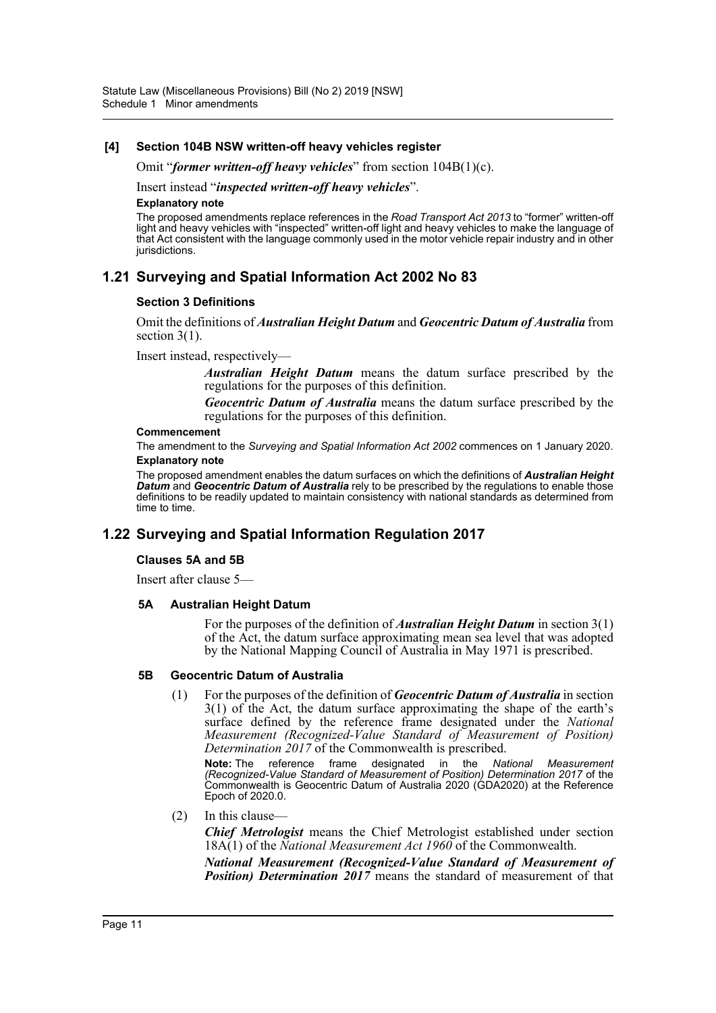### **[4] Section 104B NSW written-off heavy vehicles register**

Omit "*former written-off heavy vehicles*" from section 104B(1)(c).

Insert instead "*inspected written-off heavy vehicles*".

#### **Explanatory note**

The proposed amendments replace references in the *Road Transport Act 2013* to "former" written-off light and heavy vehicles with "inspected" written-off light and heavy vehicles to make the language of that Act consistent with the language commonly used in the motor vehicle repair industry and in other jurisdictions.

# **1.21 Surveying and Spatial Information Act 2002 No 83**

#### **Section 3 Definitions**

Omit the definitions of *Australian Height Datum* and *Geocentric Datum of Australia* from section 3(1).

#### Insert instead, respectively—

*Australian Height Datum* means the datum surface prescribed by the regulations for the purposes of this definition.

*Geocentric Datum of Australia* means the datum surface prescribed by the regulations for the purposes of this definition.

#### **Commencement**

The amendment to the *Surveying and Spatial Information Act 2002* commences on 1 January 2020. **Explanatory note**

The proposed amendment enables the datum surfaces on which the definitions of *Australian Height Datum* and *Geocentric Datum of Australia* rely to be prescribed by the regulations to enable those definitions to be readily updated to maintain consistency with national standards as determined from time to time.

# **1.22 Surveying and Spatial Information Regulation 2017**

#### **Clauses 5A and 5B**

Insert after clause 5—

#### **5A Australian Height Datum**

For the purposes of the definition of *Australian Height Datum* in section 3(1) of the Act, the datum surface approximating mean sea level that was adopted by the National Mapping Council of Australia in May 1971 is prescribed.

#### **5B Geocentric Datum of Australia**

(1) For the purposes of the definition of *Geocentric Datum of Australia* in section 3(1) of the Act, the datum surface approximating the shape of the earth's surface defined by the reference frame designated under the *National Measurement (Recognized-Value Standard of Measurement of Position) Determination 2017* of the Commonwealth is prescribed.

**Note:** The reference frame designated in the *National Measurement (Recognized-Value Standard of Measurement of Position) Determination 2017* of the Commonwealth is Geocentric Datum of Australia 2020 (GDA2020) at the Reference Epoch of 2020.0.

(2) In this clause—

*Chief Metrologist* means the Chief Metrologist established under section 18A(1) of the *National Measurement Act 1960* of the Commonwealth.

*National Measurement (Recognized-Value Standard of Measurement of Position) Determination 2017* means the standard of measurement of that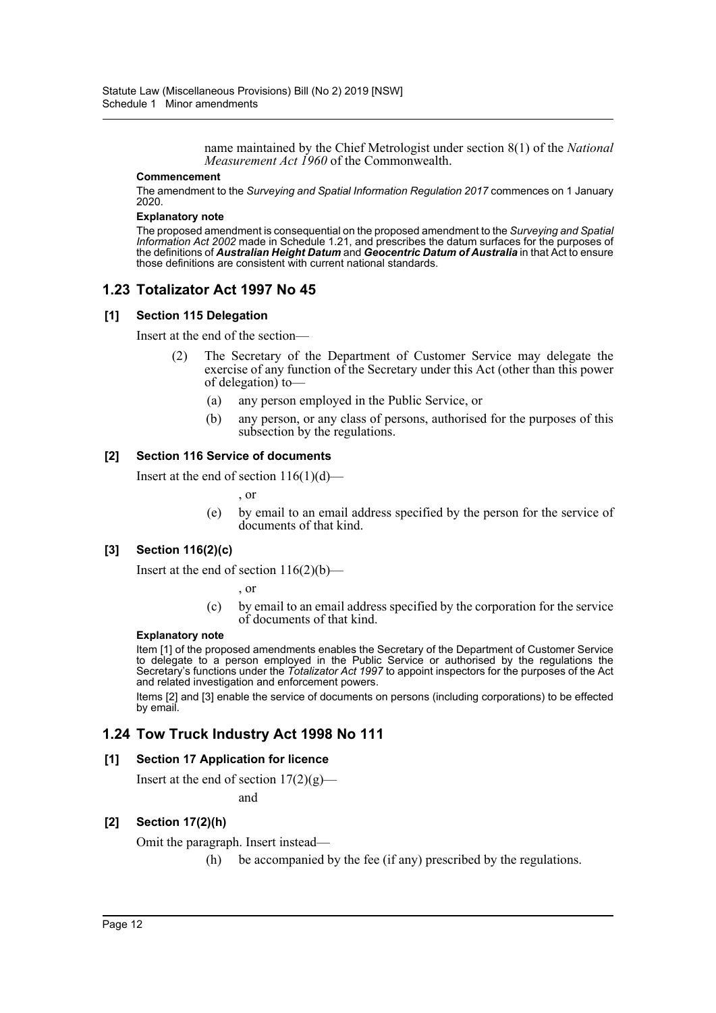name maintained by the Chief Metrologist under section 8(1) of the *National Measurement Act 1960* of the Commonwealth.

#### **Commencement**

The amendment to the *Surveying and Spatial Information Regulation 2017* commences on 1 January 2020.

#### **Explanatory note**

The proposed amendment is consequential on the proposed amendment to the *Surveying and Spatial Information Act 2002* made in Schedule 1.21, and prescribes the datum surfaces for the purposes of the definitions of *Australian Height Datum* and *Geocentric Datum of Australia* in that Act to ensure those definitions are consistent with current national standards.

# **1.23 Totalizator Act 1997 No 45**

#### **[1] Section 115 Delegation**

Insert at the end of the section—

- (2) The Secretary of the Department of Customer Service may delegate the exercise of any function of the Secretary under this Act (other than this power of delegation) to—
	- (a) any person employed in the Public Service, or
	- (b) any person, or any class of persons, authorised for the purposes of this subsection by the regulations.

#### **[2] Section 116 Service of documents**

Insert at the end of section  $116(1)(d)$ —

, or

(e) by email to an email address specified by the person for the service of documents of that kind.

# **[3] Section 116(2)(c)**

Insert at the end of section  $116(2)(b)$ —

, or

(c) by email to an email address specified by the corporation for the service of documents of that kind.

#### **Explanatory note**

Item [1] of the proposed amendments enables the Secretary of the Department of Customer Service to delegate to a person employed in the Public Service or authorised by the regulations the Secretary's functions under the *Totalizator Act 1997* to appoint inspectors for the purposes of the Act and related investigation and enforcement powers.

Items [2] and [3] enable the service of documents on persons (including corporations) to be effected by email.

# **1.24 Tow Truck Industry Act 1998 No 111**

### **[1] Section 17 Application for licence**

Insert at the end of section  $17(2)(g)$ —

and

### **[2] Section 17(2)(h)**

Omit the paragraph. Insert instead—

(h) be accompanied by the fee (if any) prescribed by the regulations.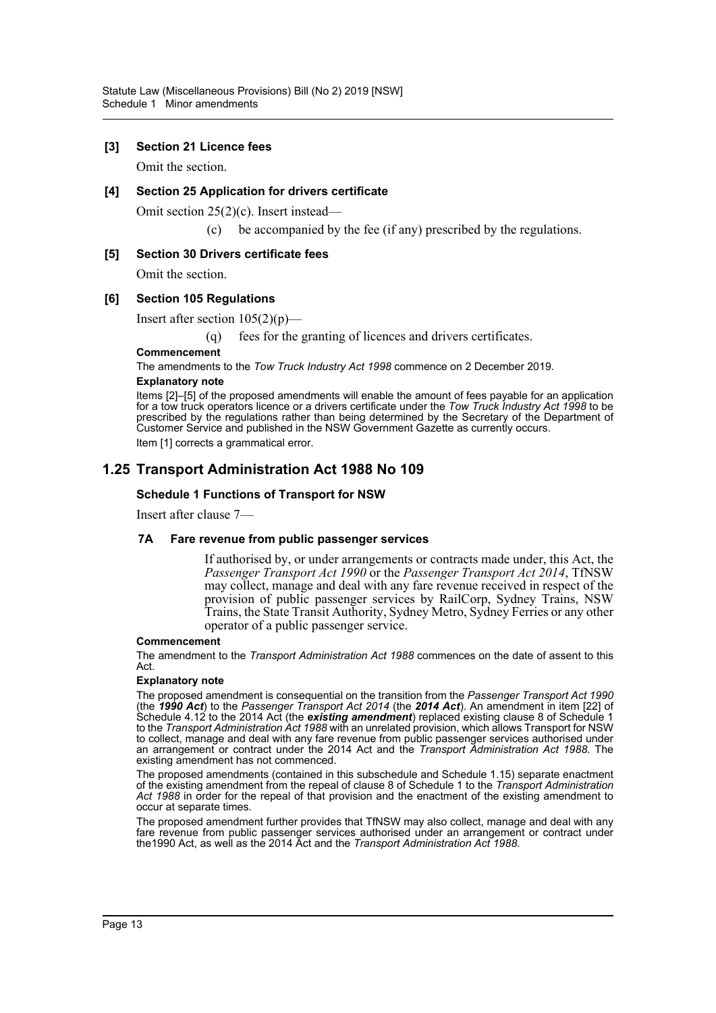### **[3] Section 21 Licence fees**

Omit the section.

### **[4] Section 25 Application for drivers certificate**

Omit section 25(2)(c). Insert instead—

(c) be accompanied by the fee (if any) prescribed by the regulations.

### **[5] Section 30 Drivers certificate fees**

Omit the section.

### **[6] Section 105 Regulations**

Insert after section  $105(2)(p)$ —

(q) fees for the granting of licences and drivers certificates.

**Commencement**

The amendments to the *Tow Truck Industry Act 1998* commence on 2 December 2019.

#### **Explanatory note**

Items [2]–[5] of the proposed amendments will enable the amount of fees payable for an application for a tow truck operators licence or a drivers certificate under the *Tow Truck Industry Act 1998* to be prescribed by the regulations rather than being determined by the Secretary of the Department of Customer Service and published in the NSW Government Gazette as currently occurs. Item [1] corrects a grammatical error.

# **1.25 Transport Administration Act 1988 No 109**

### **Schedule 1 Functions of Transport for NSW**

Insert after clause 7—

#### **7A Fare revenue from public passenger services**

If authorised by, or under arrangements or contracts made under, this Act, the *Passenger Transport Act 1990* or the *Passenger Transport Act 2014*, TfNSW may collect, manage and deal with any fare revenue received in respect of the provision of public passenger services by RailCorp, Sydney Trains, NSW Trains, the State Transit Authority, Sydney Metro, Sydney Ferries or any other operator of a public passenger service.

#### **Commencement**

The amendment to the *Transport Administration Act 1988* commences on the date of assent to this Act.

#### **Explanatory note**

The proposed amendment is consequential on the transition from the *Passenger Transport Act 1990* (the *1990 Act*) to the *Passenger Transport Act 2014* (the *2014 Act*). An amendment in item [22] of Schedule 4.12 to the 2014 Act (the *existing amendment*) replaced existing clause 8 of Schedule 1 to the *Transport Administration Act 1988* with an unrelated provision, which allows Transport for NSW to collect, manage and deal with any fare revenue from public passenger services authorised under an arrangement or contract under the 2014 Act and the *Transport Administration Act 1988*. The existing amendment has not commenced.

The proposed amendments (contained in this subschedule and Schedule 1.15) separate enactment of the existing amendment from the repeal of clause 8 of Schedule 1 to the *Transport Administration Act 1988* in order for the repeal of that provision and the enactment of the existing amendment to occur at separate times.

The proposed amendment further provides that TfNSW may also collect, manage and deal with any fare revenue from public passenger services authorised under an arrangement or contract under the1990 Act, as well as the 2014 Act and the *Transport Administration Act 1988*.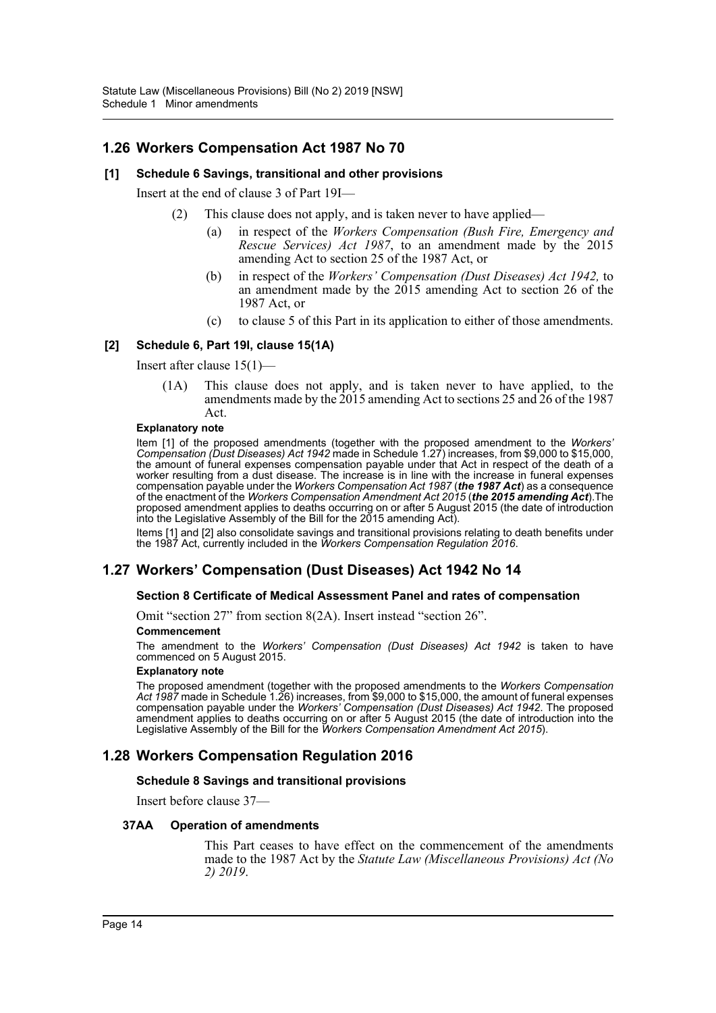# **1.26 Workers Compensation Act 1987 No 70**

### **[1] Schedule 6 Savings, transitional and other provisions**

Insert at the end of clause 3 of Part 19I—

- (2) This clause does not apply, and is taken never to have applied
	- in respect of the *Workers Compensation (Bush Fire, Emergency and Rescue Services) Act 1987*, to an amendment made by the 2015 amending Act to section 25 of the 1987 Act, or
	- (b) in respect of the *Workers' Compensation (Dust Diseases) Act 1942,* to an amendment made by the 2015 amending Act to section 26 of the 1987 Act, or
	- (c) to clause 5 of this Part in its application to either of those amendments.

### **[2] Schedule 6, Part 19I, clause 15(1A)**

Insert after clause 15(1)—

(1A) This clause does not apply, and is taken never to have applied, to the amendments made by the 2015 amending Act to sections 25 and 26 of the 1987 Act.

#### **Explanatory note**

Item [1] of the proposed amendments (together with the proposed amendment to the *Workers' Compensation (Dust Diseases) Act 1942* made in Schedule 1.27) increases, from \$9,000 to \$15,000, the amount of funeral expenses compensation payable under that Act in respect of the death of a worker resulting from a dust disease. The increase is in line with the increase in funeral expenses compensation payable under the *Workers Compensation Act 1987* (*the 1987 Act*) as a consequence of the enactment of the *Workers Compensation Amendment Act 2015* (*the 2015 amending Act*).The proposed amendment applies to deaths occurring on or after 5 August 2015 (the date of introduction into the Legislative Assembly of the Bill for the 2015 amending Act).

Items [1] and [2] also consolidate savings and transitional provisions relating to death benefits under the 1987 Act, currently included in the *Workers Compensation Regulation 2016*.

# **1.27 Workers' Compensation (Dust Diseases) Act 1942 No 14**

# **Section 8 Certificate of Medical Assessment Panel and rates of compensation**

Omit "section 27" from section 8(2A). Insert instead "section 26".

#### **Commencement**

The amendment to the *Workers' Compensation (Dust Diseases) Act 1942* is taken to have commenced on 5 August 2015.

#### **Explanatory note**

The proposed amendment (together with the proposed amendments to the *Workers Compensation Act 1987* made in Schedule 1.26) increases, from \$9,000 to \$15,000, the amount of funeral expenses compensation payable under the *Workers' Compensation (Dust Diseases) Act 1942*. The proposed amendment applies to deaths occurring on or after 5 August 2015 (the date of introduction into the Legislative Assembly of the Bill for the *Workers Compensation Amendment Act 2015*).

# **1.28 Workers Compensation Regulation 2016**

### **Schedule 8 Savings and transitional provisions**

Insert before clause 37—

#### **37AA Operation of amendments**

This Part ceases to have effect on the commencement of the amendments made to the 1987 Act by the *Statute Law (Miscellaneous Provisions) Act (No 2) 2019*.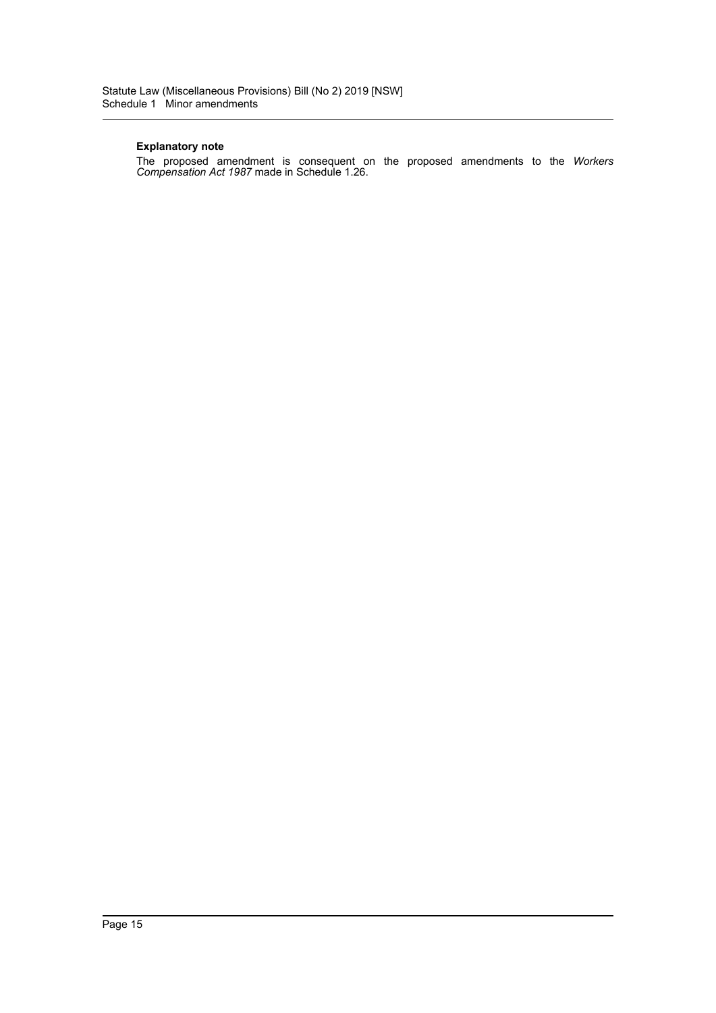The proposed amendment is consequent on the proposed amendments to the *Workers Compensation Act 1987* made in Schedule 1.26.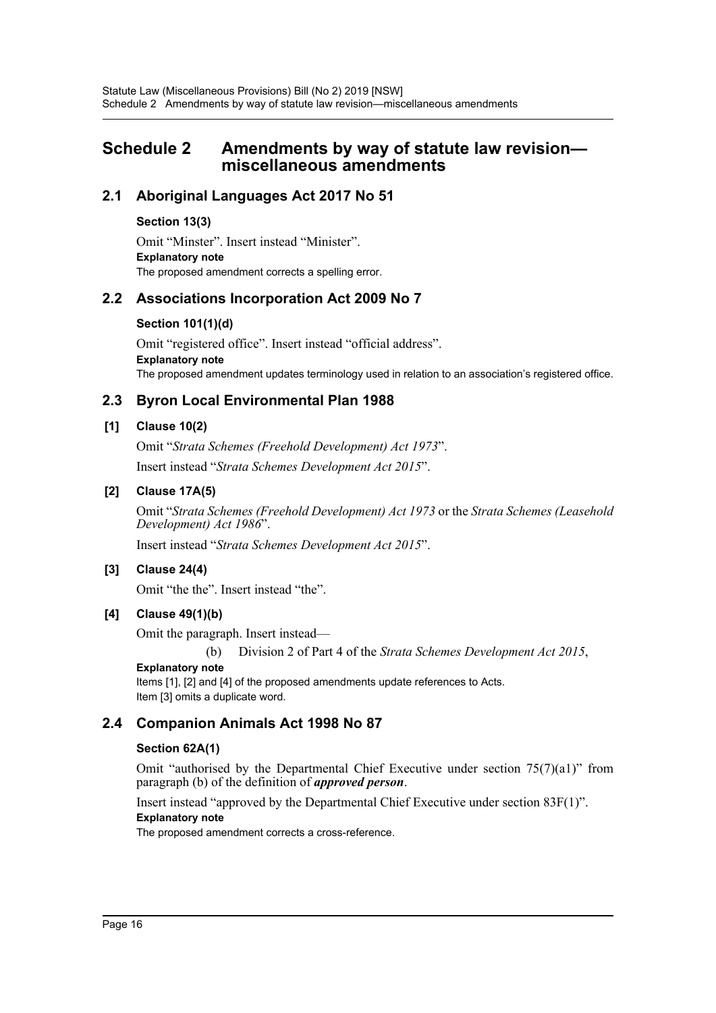# <span id="page-16-0"></span>**Schedule 2 Amendments by way of statute law revision miscellaneous amendments**

# **2.1 Aboriginal Languages Act 2017 No 51**

### **Section 13(3)**

Omit "Minster". Insert instead "Minister". **Explanatory note** The proposed amendment corrects a spelling error.

# **2.2 Associations Incorporation Act 2009 No 7**

### **Section 101(1)(d)**

Omit "registered office". Insert instead "official address". **Explanatory note** The proposed amendment updates terminology used in relation to an association's registered office.

# **2.3 Byron Local Environmental Plan 1988**

### **[1] Clause 10(2)**

Omit "*Strata Schemes (Freehold Development) Act 1973*". Insert instead "*Strata Schemes Development Act 2015*".

# **[2] Clause 17A(5)**

Omit "*Strata Schemes (Freehold Development) Act 1973* or the *Strata Schemes (Leasehold Development) Act 1986*".

Insert instead "*Strata Schemes Development Act 2015*".

# **[3] Clause 24(4)**

Omit "the the". Insert instead "the".

# **[4] Clause 49(1)(b)**

Omit the paragraph. Insert instead—

(b) Division 2 of Part 4 of the *Strata Schemes Development Act 2015*,

### **Explanatory note**

Items [1], [2] and [4] of the proposed amendments update references to Acts. Item [3] omits a duplicate word.

# **2.4 Companion Animals Act 1998 No 87**

### **Section 62A(1)**

Omit "authorised by the Departmental Chief Executive under section 75(7)(a1)" from paragraph (b) of the definition of *approved person*.

Insert instead "approved by the Departmental Chief Executive under section 83F(1)".

# **Explanatory note**

The proposed amendment corrects a cross-reference.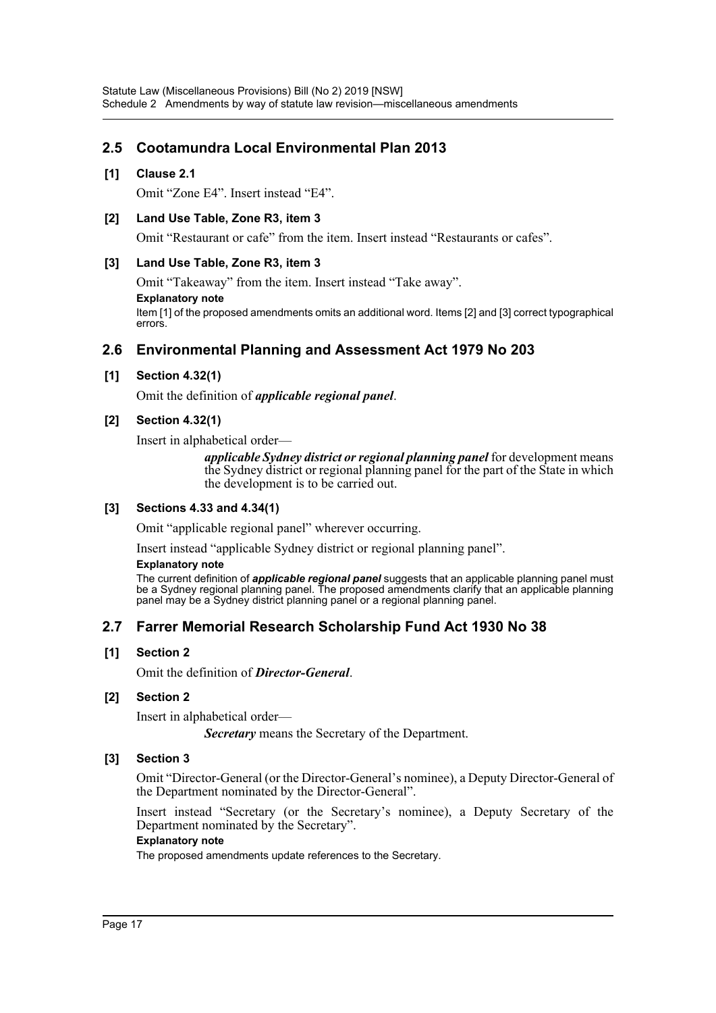# **2.5 Cootamundra Local Environmental Plan 2013**

### **[1] Clause 2.1**

Omit "Zone E4". Insert instead "E4".

### **[2] Land Use Table, Zone R3, item 3**

Omit "Restaurant or cafe" from the item. Insert instead "Restaurants or cafes".

### **[3] Land Use Table, Zone R3, item 3**

Omit "Takeaway" from the item. Insert instead "Take away".

**Explanatory note**

Item [1] of the proposed amendments omits an additional word. Items [2] and [3] correct typographical errors.

# **2.6 Environmental Planning and Assessment Act 1979 No 203**

### **[1] Section 4.32(1)**

Omit the definition of *applicable regional panel*.

# **[2] Section 4.32(1)**

Insert in alphabetical order—

*applicable Sydney district or regional planning panel* for development means the Sydney district or regional planning panel for the part of the State in which the development is to be carried out.

# **[3] Sections 4.33 and 4.34(1)**

Omit "applicable regional panel" wherever occurring.

Insert instead "applicable Sydney district or regional planning panel".

#### **Explanatory note**

The current definition of *applicable regional panel* suggests that an applicable planning panel must be a Sydney regional planning panel. The proposed amendments clarify that an applicable planning panel may be a Sydney district planning panel or a regional planning panel.

# **2.7 Farrer Memorial Research Scholarship Fund Act 1930 No 38**

# **[1] Section 2**

Omit the definition of *Director-General*.

### **[2] Section 2**

Insert in alphabetical order—

*Secretary* means the Secretary of the Department.

### **[3] Section 3**

Omit "Director-General (or the Director-General's nominee), a Deputy Director-General of the Department nominated by the Director-General".

Insert instead "Secretary (or the Secretary's nominee), a Deputy Secretary of the Department nominated by the Secretary".

### **Explanatory note**

The proposed amendments update references to the Secretary.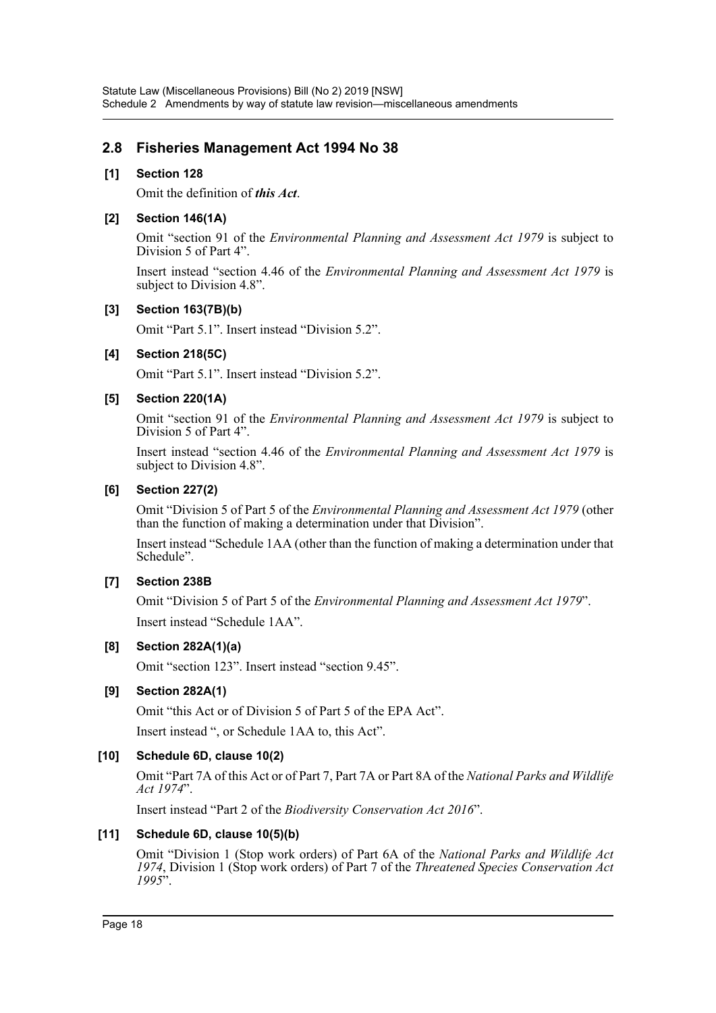# **2.8 Fisheries Management Act 1994 No 38**

### **[1] Section 128**

Omit the definition of *this Act*.

### **[2] Section 146(1A)**

Omit "section 91 of the *Environmental Planning and Assessment Act 1979* is subject to Division 5 of Part 4".

Insert instead "section 4.46 of the *Environmental Planning and Assessment Act 1979* is subject to Division 4.8".

### **[3] Section 163(7B)(b)**

Omit "Part 5.1". Insert instead "Division 5.2".

### **[4] Section 218(5C)**

Omit "Part 5.1". Insert instead "Division 5.2".

### **[5] Section 220(1A)**

Omit "section 91 of the *Environmental Planning and Assessment Act 1979* is subject to Division 5 of Part 4".

Insert instead "section 4.46 of the *Environmental Planning and Assessment Act 1979* is subject to Division 4.8".

### **[6] Section 227(2)**

Omit "Division 5 of Part 5 of the *Environmental Planning and Assessment Act 1979* (other than the function of making a determination under that Division".

Insert instead "Schedule 1AA (other than the function of making a determination under that Schedule".

# **[7] Section 238B**

Omit "Division 5 of Part 5 of the *Environmental Planning and Assessment Act 1979*". Insert instead "Schedule 1AA".

# **[8] Section 282A(1)(a)**

Omit "section 123". Insert instead "section 9.45".

# **[9] Section 282A(1)**

Omit "this Act or of Division 5 of Part 5 of the EPA Act".

Insert instead ", or Schedule 1AA to, this Act".

### **[10] Schedule 6D, clause 10(2)**

Omit "Part 7A of this Act or of Part 7, Part 7A or Part 8A of the *National Parks and Wildlife Act 1974*".

Insert instead "Part 2 of the *Biodiversity Conservation Act 2016*".

### **[11] Schedule 6D, clause 10(5)(b)**

Omit "Division 1 (Stop work orders) of Part 6A of the *National Parks and Wildlife Act 1974*, Division 1 (Stop work orders) of Part 7 of the *Threatened Species Conservation Act 1995*".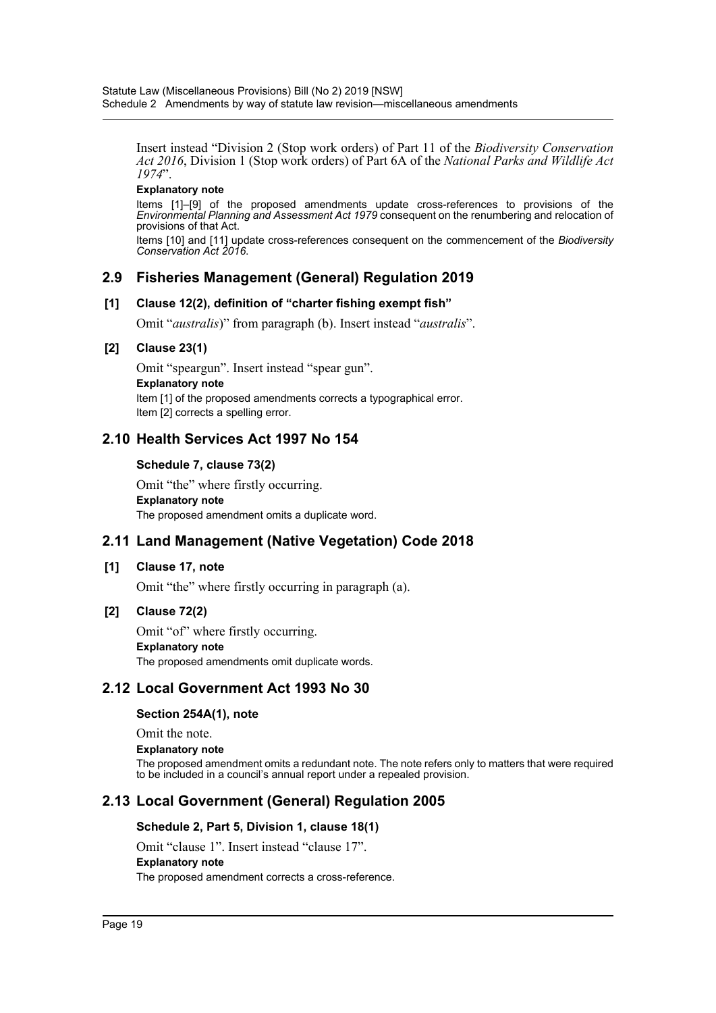Insert instead "Division 2 (Stop work orders) of Part 11 of the *Biodiversity Conservation Act 2016*, Division 1 (Stop work orders) of Part 6A of the *National Parks and Wildlife Act 1974*".

### **Explanatory note**

Items [1]–[9] of the proposed amendments update cross-references to provisions of the *Environmental Planning and Assessment Act 1979* consequent on the renumbering and relocation of provisions of that Act.

Items [10] and [11] update cross-references consequent on the commencement of the *Biodiversity Conservation Act 2016*.

# **2.9 Fisheries Management (General) Regulation 2019**

### **[1] Clause 12(2), definition of "charter fishing exempt fish"**

Omit "*australis*)" from paragraph (b). Insert instead "*australis*".

### **[2] Clause 23(1)**

Omit "speargun". Insert instead "spear gun". **Explanatory note** Item [1] of the proposed amendments corrects a typographical error. Item [2] corrects a spelling error.

# **2.10 Health Services Act 1997 No 154**

### **Schedule 7, clause 73(2)**

Omit "the" where firstly occurring. **Explanatory note** The proposed amendment omits a duplicate word.

# **2.11 Land Management (Native Vegetation) Code 2018**

### **[1] Clause 17, note**

Omit "the" where firstly occurring in paragraph (a).

### **[2] Clause 72(2)**

Omit "of" where firstly occurring. **Explanatory note** The proposed amendments omit duplicate words.

# **2.12 Local Government Act 1993 No 30**

### **Section 254A(1), note**

Omit the note.

### **Explanatory note**

The proposed amendment omits a redundant note. The note refers only to matters that were required to be included in a council's annual report under a repealed provision.

# **2.13 Local Government (General) Regulation 2005**

### **Schedule 2, Part 5, Division 1, clause 18(1)**

Omit "clause 1". Insert instead "clause 17".

### **Explanatory note**

The proposed amendment corrects a cross-reference.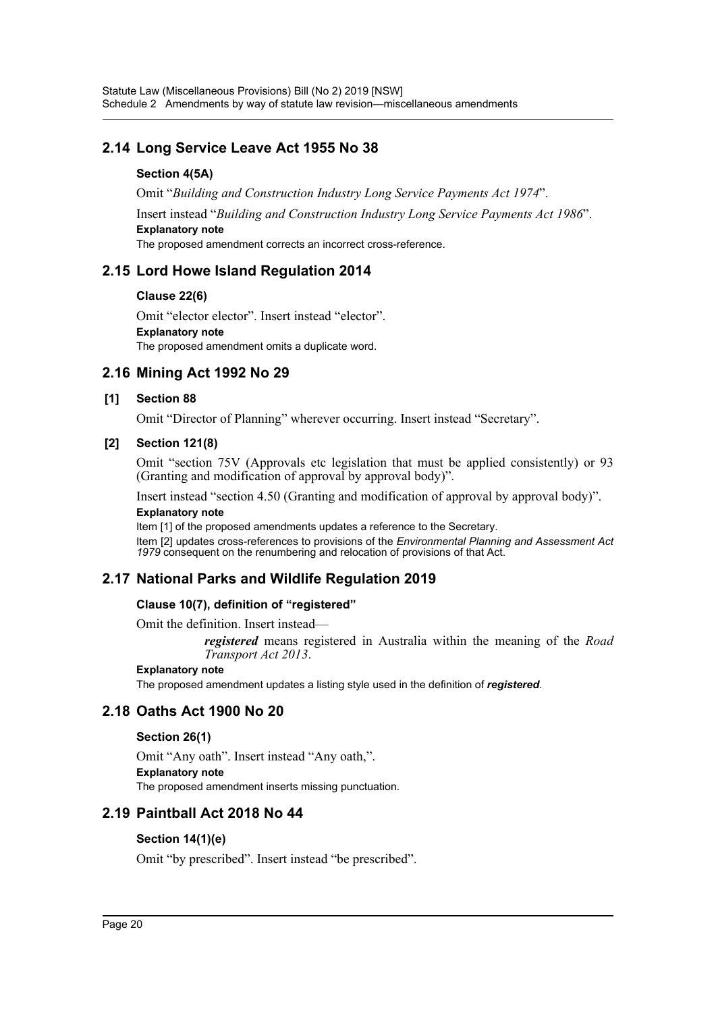# **2.14 Long Service Leave Act 1955 No 38**

# **Section 4(5A)**

Omit "*Building and Construction Industry Long Service Payments Act 1974*". Insert instead "*Building and Construction Industry Long Service Payments Act 1986*". **Explanatory note** The proposed amendment corrects an incorrect cross-reference.

# **2.15 Lord Howe Island Regulation 2014**

# **Clause 22(6)**

Omit "elector elector". Insert instead "elector". **Explanatory note** The proposed amendment omits a duplicate word.

# **2.16 Mining Act 1992 No 29**

# **[1] Section 88**

Omit "Director of Planning" wherever occurring. Insert instead "Secretary".

# **[2] Section 121(8)**

Omit "section 75V (Approvals etc legislation that must be applied consistently) or 93 (Granting and modification of approval by approval body)".

Insert instead "section 4.50 (Granting and modification of approval by approval body)".

# **Explanatory note**

Item [1] of the proposed amendments updates a reference to the Secretary. Item [2] updates cross-references to provisions of the *Environmental Planning and Assessment Act 1979* consequent on the renumbering and relocation of provisions of that Act.

# **2.17 National Parks and Wildlife Regulation 2019**

# **Clause 10(7), definition of "registered"**

Omit the definition. Insert instead—

*registered* means registered in Australia within the meaning of the *Road Transport Act 2013*.

# **Explanatory note**

The proposed amendment updates a listing style used in the definition of *registered*.

# **2.18 Oaths Act 1900 No 20**

# **Section 26(1)**

Omit "Any oath". Insert instead "Any oath,". **Explanatory note** The proposed amendment inserts missing punctuation.

# **2.19 Paintball Act 2018 No 44**

# **Section 14(1)(e)**

Omit "by prescribed". Insert instead "be prescribed".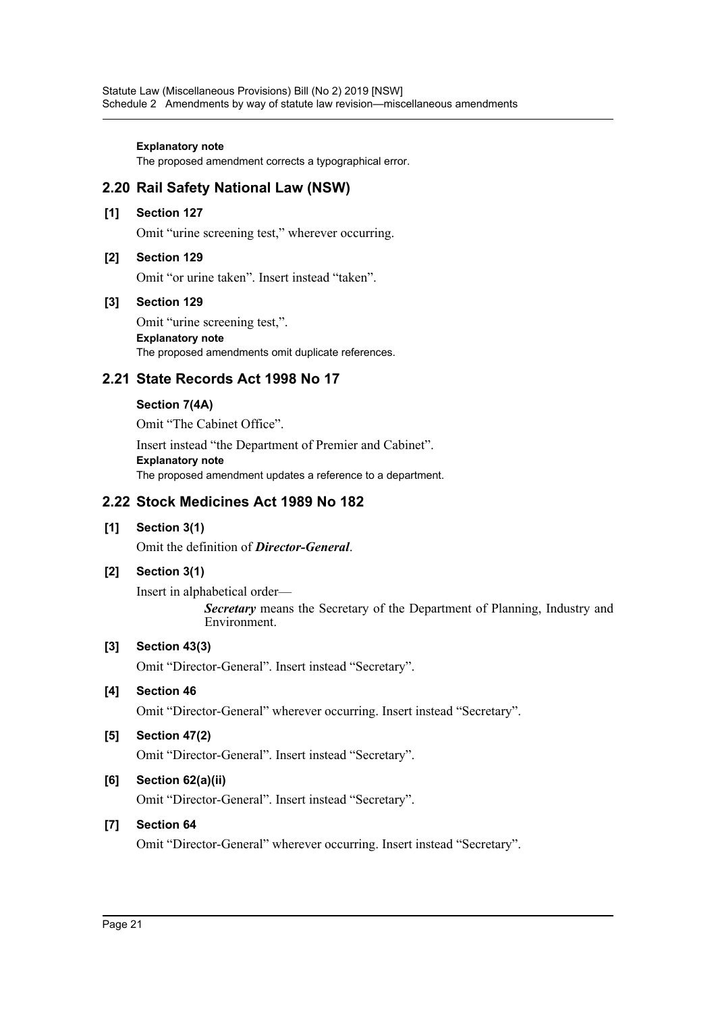The proposed amendment corrects a typographical error.

# **2.20 Rail Safety National Law (NSW)**

### **[1] Section 127**

Omit "urine screening test," wherever occurring.

### **[2] Section 129**

Omit "or urine taken". Insert instead "taken".

### **[3] Section 129**

Omit "urine screening test,". **Explanatory note** The proposed amendments omit duplicate references.

# **2.21 State Records Act 1998 No 17**

### **Section 7(4A)**

Omit "The Cabinet Office".

Insert instead "the Department of Premier and Cabinet". **Explanatory note** The proposed amendment updates a reference to a department.

# **2.22 Stock Medicines Act 1989 No 182**

**[1] Section 3(1)**

Omit the definition of *Director-General*.

# **[2] Section 3(1)**

Insert in alphabetical order— *Secretary* means the Secretary of the Department of Planning, Industry and Environment.

# **[3] Section 43(3)**

Omit "Director-General". Insert instead "Secretary".

# **[4] Section 46**

Omit "Director-General" wherever occurring. Insert instead "Secretary".

# **[5] Section 47(2)**

Omit "Director-General". Insert instead "Secretary".

# **[6] Section 62(a)(ii)**

Omit "Director-General". Insert instead "Secretary".

# **[7] Section 64**

Omit "Director-General" wherever occurring. Insert instead "Secretary".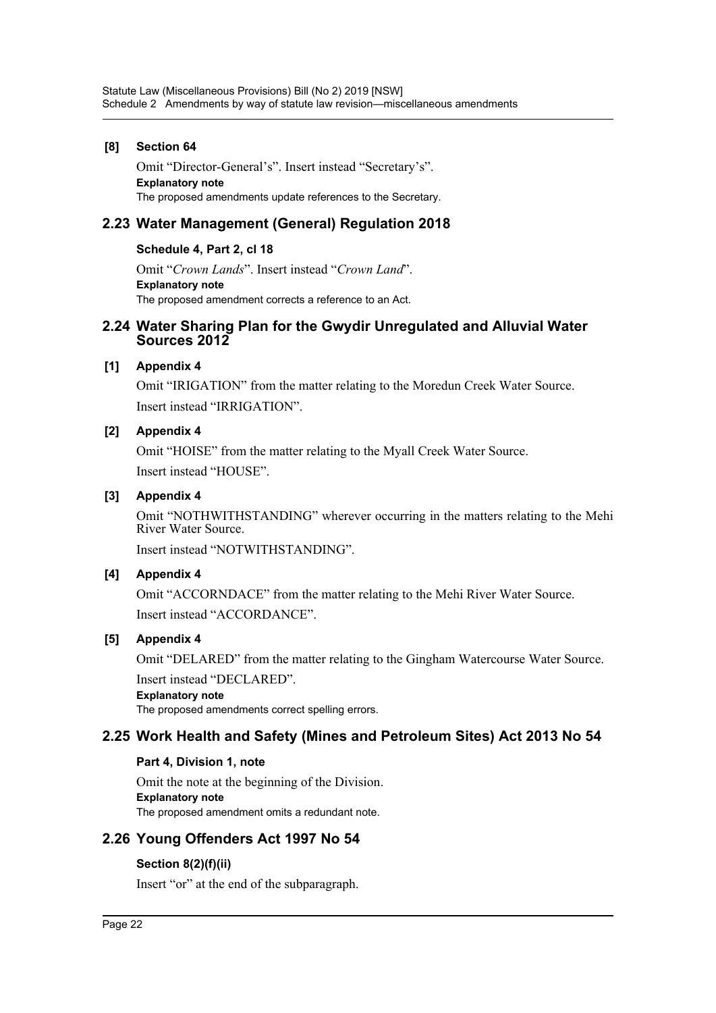# **[8] Section 64**

Omit "Director-General's". Insert instead "Secretary's". **Explanatory note** The proposed amendments update references to the Secretary.

# **2.23 Water Management (General) Regulation 2018**

# **Schedule 4, Part 2, cl 18**

Omit "*Crown Lands*". Insert instead "*Crown Land*". **Explanatory note** The proposed amendment corrects a reference to an Act.

# **2.24 Water Sharing Plan for the Gwydir Unregulated and Alluvial Water Sources 2012**

# **[1] Appendix 4**

Omit "IRIGATION" from the matter relating to the Moredun Creek Water Source. Insert instead "IRRIGATION".

# **[2] Appendix 4**

Omit "HOISE" from the matter relating to the Myall Creek Water Source. Insert instead "HOUSE".

# **[3] Appendix 4**

Omit "NOTHWITHSTANDING" wherever occurring in the matters relating to the Mehi River Water Source.

Insert instead "NOTWITHSTANDING".

# **[4] Appendix 4**

Omit "ACCORNDACE" from the matter relating to the Mehi River Water Source. Insert instead "ACCORDANCE".

# **[5] Appendix 4**

Omit "DELARED" from the matter relating to the Gingham Watercourse Water Source. Insert instead "DECLARED".

**Explanatory note** The proposed amendments correct spelling errors.

# **2.25 Work Health and Safety (Mines and Petroleum Sites) Act 2013 No 54**

# **Part 4, Division 1, note**

Omit the note at the beginning of the Division. **Explanatory note** The proposed amendment omits a redundant note.

# **2.26 Young Offenders Act 1997 No 54**

# **Section 8(2)(f)(ii)**

Insert "or" at the end of the subparagraph.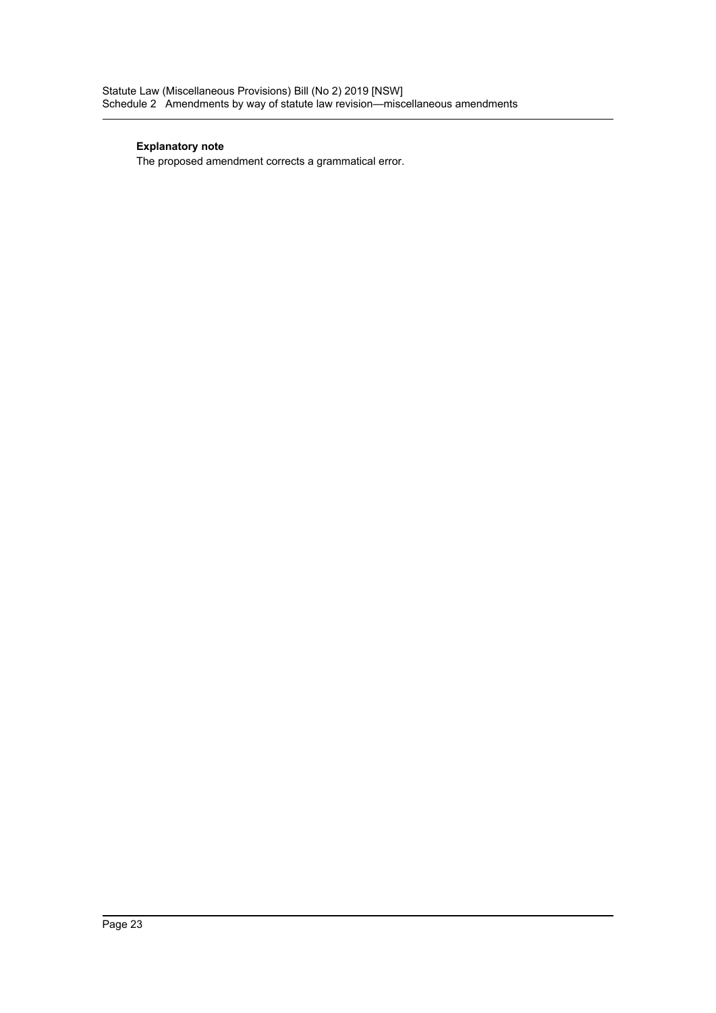The proposed amendment corrects a grammatical error.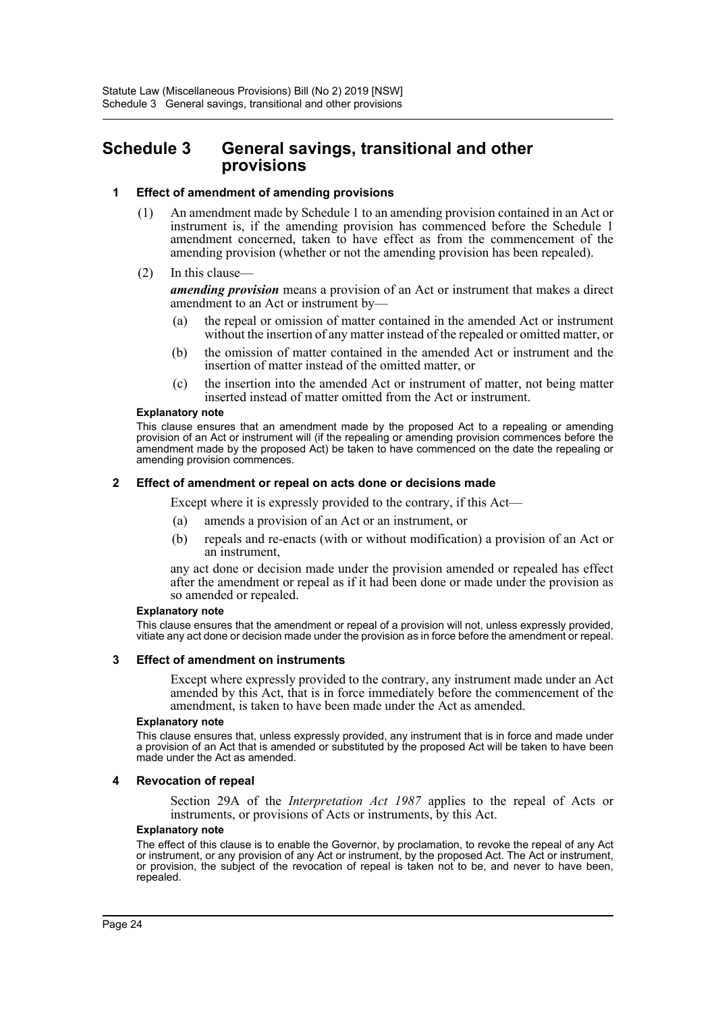# <span id="page-24-0"></span>**Schedule 3 General savings, transitional and other provisions**

### **1 Effect of amendment of amending provisions**

- (1) An amendment made by Schedule 1 to an amending provision contained in an Act or instrument is, if the amending provision has commenced before the Schedule 1 amendment concerned, taken to have effect as from the commencement of the amending provision (whether or not the amending provision has been repealed).
- (2) In this clause—

*amending provision* means a provision of an Act or instrument that makes a direct amendment to an Act or instrument by—

- (a) the repeal or omission of matter contained in the amended Act or instrument without the insertion of any matter instead of the repealed or omitted matter, or
- (b) the omission of matter contained in the amended Act or instrument and the insertion of matter instead of the omitted matter, or
- (c) the insertion into the amended Act or instrument of matter, not being matter inserted instead of matter omitted from the Act or instrument.

#### **Explanatory note**

This clause ensures that an amendment made by the proposed Act to a repealing or amending provision of an Act or instrument will (if the repealing or amending provision commences before the amendment made by the proposed Act) be taken to have commenced on the date the repealing or amending provision commences.

#### **2 Effect of amendment or repeal on acts done or decisions made**

Except where it is expressly provided to the contrary, if this Act—

- (a) amends a provision of an Act or an instrument, or
- (b) repeals and re-enacts (with or without modification) a provision of an Act or an instrument,

any act done or decision made under the provision amended or repealed has effect after the amendment or repeal as if it had been done or made under the provision as so amended or repealed.

#### **Explanatory note**

This clause ensures that the amendment or repeal of a provision will not, unless expressly provided, vitiate any act done or decision made under the provision as in force before the amendment or repeal.

#### **3 Effect of amendment on instruments**

Except where expressly provided to the contrary, any instrument made under an Act amended by this Act, that is in force immediately before the commencement of the amendment, is taken to have been made under the Act as amended.

#### **Explanatory note**

This clause ensures that, unless expressly provided, any instrument that is in force and made under a provision of an Act that is amended or substituted by the proposed Act will be taken to have been made under the Act as amended.

#### **4 Revocation of repeal**

Section 29A of the *Interpretation Act 1987* applies to the repeal of Acts or instruments, or provisions of Acts or instruments, by this Act.

#### **Explanatory note**

The effect of this clause is to enable the Governor, by proclamation, to revoke the repeal of any Act or instrument, or any provision of any Act or instrument, by the proposed Act. The Act or instrument, or provision, the subject of the revocation of repeal is taken not to be, and never to have been, repealed.